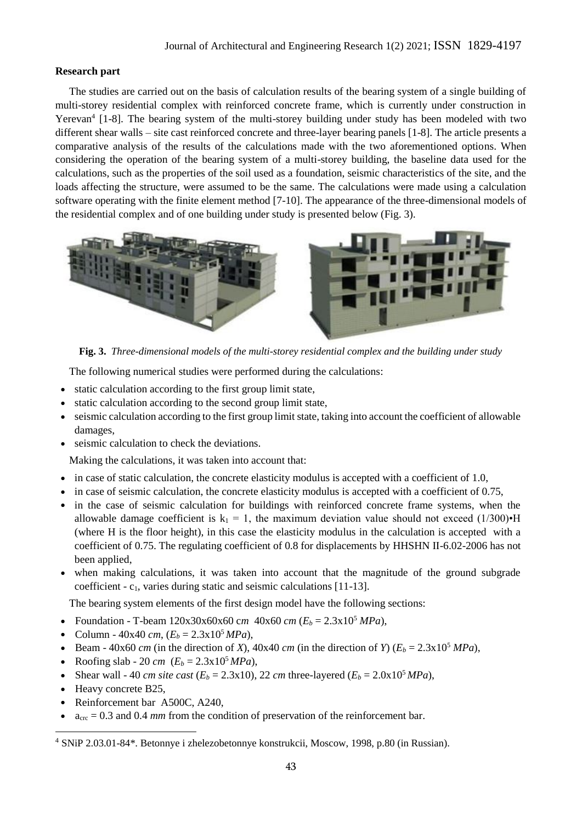## **Research part**

The studies are carried out on the basis of calculation results of the bearing system of a single building of multi-storey residential complex with reinforced concrete frame, which is currently under construction in Yerevan<sup>4</sup> [1-8]. The bearing system of the multi-storey building under study has been modeled with two different shear walls – site cast reinforced concrete and three-layer bearing panels [1-8]. The article presents a comparative analysis of the results of the calculations made with the two aforementioned options. When considering the operation of the bearing system of a multi-storey building, the baseline data used for the calculations, such as the properties of the soil used as a foundation, seismic characteristics of the site, and the loads affecting the structure, were assumed to be the same. The calculations were made using a calculation software operating with the finite element method [7-10]. The appearance of the three-dimensional models of the residential complex and of one building under study is presented below (Fig. 3).



**Fig. 3.** *Three-dimensional models of the multi-storey residential complex and the building under study* 

The following numerical studies were performed during the calculations:

- static calculation according to the first group limit state,
- static calculation according to the second group limit state,
- seismic calculation according to the first group limit state, taking into account the coefficient of allowable damages,
- seismic calculation to check the deviations.

Making the calculations, it was taken into account that:

- in case of static calculation, the concrete elasticity modulus is accepted with a coefficient of 1.0,
- in case of seismic calculation, the concrete elasticity modulus is accepted with a coefficient of 0.75,
- in the case of seismic calculation for buildings with reinforced concrete frame systems, when the allowable damage coefficient is  $k_1 = 1$ , the maximum deviation value should not exceed (1/300)•H (where H is the floor height), in this case the elasticity modulus in the calculation is accepted with a coefficient of 0.75. The regulating coefficient of 0.8 for displacements by HHSHN II-6.02-2006 has not been applied,
- when making calculations, it was taken into account that the magnitude of the ground subgrade coefficient -  $c_1$ , varies during static and seismic calculations [11-13].

The bearing system elements of the first design model have the following sections:

- Foundation T-beam  $120x30x60x60$  *cm*  $40x60$  *cm*  $(E_b = 2.3x10^5$  *MPa*),
- Column  $40x40$  *cm*,  $(E_b = 2.3x10^5 MPa)$ ,
- Beam  $40x60$  *cm* (in the direction of *X*),  $40x40$  *cm* (in the direction of *Y*) ( $E_b = 2.3x10^5$  *MPa*),
- Roofing slab 20 *cm*  $(E_b = 2.3 \times 10^5 MPa)$ ,
- Shear wall 40 *cm site cast* ( $E_b = 2.3 \times 10$ ), 22 *cm* three-layered ( $E_b = 2.0 \times 10^5 MPa$ ),
- Heavy concrete B25,
- Reinforcement bar A500C, A240,
- acrc = 0.3 and 0.4 *mm* from the condition of preservation of the reinforcement bar.

<sup>4</sup> SNiP 2.03.01-84\*. Betonnye i zhelezobetonnye konstrukcii, Moscow, 1998, p.80 (in Russian).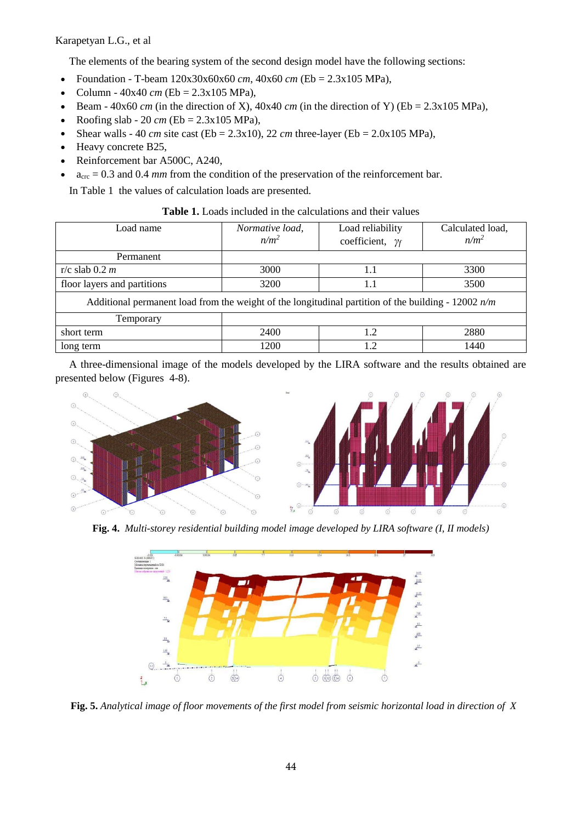Karapetyan L.G., et al

The elements of the bearing system of the second design model have the following sections:

- Foundation T-beam  $120x30x60x60$  *cm*,  $40x60$  *cm* (Eb = 2.3x105 MPa),
- Column  $40x40$  *cm* (Eb =  $2.3x105$  MPa),
- Beam  $40x60$  *cm* (in the direction of X),  $40x40$  *cm* (in the direction of Y) ( $Eb = 2.3x105$  MPa),
- Roofing slab 20 *cm* (Eb = 2.3x105 MPa),
- Shear walls 40 *cm* site cast (Eb = 2.3x10), 22 *cm* three-layer (Eb = 2.0x105 MPa),
- Heavy concrete B25,
- Reinforcement bar A500C, A240,
- acrc = 0.3 and 0.4 *mm* from the condition of the preservation of the reinforcement bar.

In Table 1 the values of calculation loads are presented.

| <b>Table 1.</b> Loads included in the calculations and their values |  |
|---------------------------------------------------------------------|--|
|---------------------------------------------------------------------|--|

| Load name                                                                                             | Normative load,<br>$n/m^2$ | Load reliability<br>coefficient, $\gamma_f$ | Calculated load,<br>$n/m^2$ |  |
|-------------------------------------------------------------------------------------------------------|----------------------------|---------------------------------------------|-----------------------------|--|
| Permanent                                                                                             |                            |                                             |                             |  |
| r/c slab $0.2 m$                                                                                      | 3000                       | 1.1                                         | 3300                        |  |
| floor layers and partitions                                                                           | 3200                       | 1.1                                         | 3500                        |  |
| Additional permanent load from the weight of the longitudinal partition of the building - 12002 $n/m$ |                            |                                             |                             |  |
| Temporary                                                                                             |                            |                                             |                             |  |
| short term                                                                                            | 2400                       | 1.2                                         | 2880                        |  |
| long term                                                                                             | 1200                       | 1.2                                         | 1440                        |  |

A three-dimensional image of the models developed by the LIRA software and the results obtained are presented below (Figures 4-8).





**Fig. 4.** *Multi-storey residential building model image developed by LIRA software (I, II models)*



**Fig. 5.** *Analytical image of floor movements of the first model from seismic horizontal load in direction of X*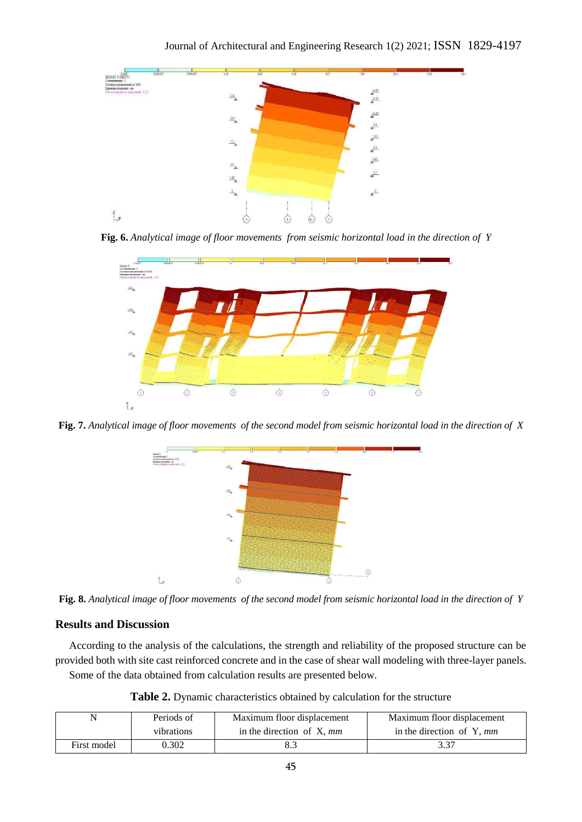

**Fig. 6.** *Analytical image of floor movements from seismic horizontal load in the direction of Y*



**Fig. 7.** *Analytical image of floor movements of the second model from seismic horizontal load in the direction of X*



**Fig. 8.** *Analytical image of floor movements of the second model from seismic horizontal load in the direction of Y*

## **Results and Discussion**

According to the analysis of the calculations, the strength and reliability of the proposed structure can be provided both with site cast reinforced concrete and in the case of shear wall modeling with three-layer panels.

Some of the data obtained from calculation results are presented below.

**Table 2.** Dynamic characteristics obtained by calculation for the structure

| N           | Periods of | Maximum floor displacement   | Maximum floor displacement  |
|-------------|------------|------------------------------|-----------------------------|
|             | vibrations | in the direction of $X$ , mm | in the direction of Y, $mm$ |
| First model | 0.302      |                              | 3.37                        |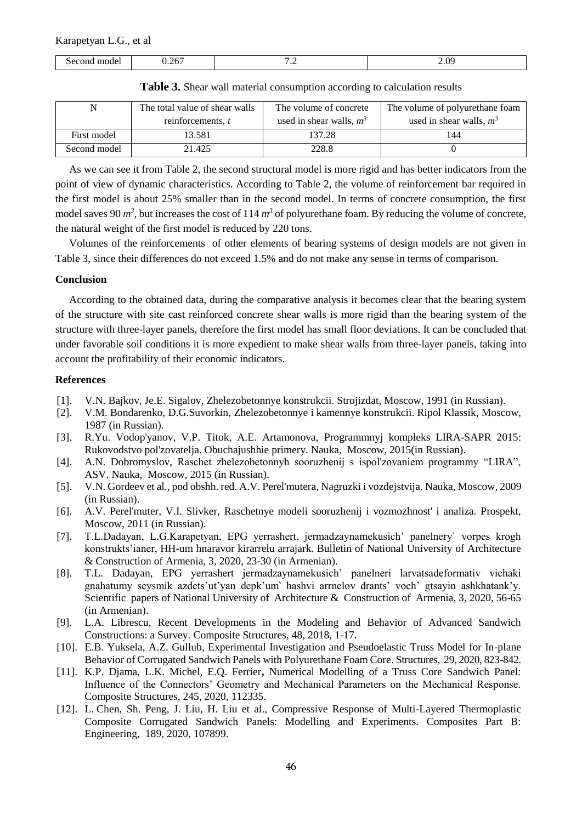| model<br>.5e <sub>c</sub><br>:ona<br>. | 26<br>. | $\cdot$ | ΩG<br>$\cdots$ |
|----------------------------------------|---------|---------|----------------|
|----------------------------------------|---------|---------|----------------|

| N            | The total value of shear walls | The volume of concrete     | The volume of polyurethane foam |
|--------------|--------------------------------|----------------------------|---------------------------------|
|              | reinforcements, t              | used in shear walls, $m^3$ | used in shear walls, $m^3$      |
| First model  | 13.581                         | 137.28                     | 144                             |
| Second model | 21.425                         | 228.8                      |                                 |

**Table 3.** Shear wall material consumption according to calculation results

As we can see it from Table 2, the second structural model is more rigid and has better indicators from the point of view of dynamic characteristics. According to Table 2, the volume of reinforcement bar required in the first model is about 25% smaller than in the second model. In terms of concrete consumption, the first model saves 90  $m^3$ , but increases the cost of 114  $m^3$  of polyurethane foam. By reducing the volume of concrete, the natural weight of the first model is reduced by 220 tons.

Volumes of the reinforcements of other elements of bearing systems of design models are not given in Table 3, since their differences do not exceed 1.5% and do not make any sense in terms of comparison.

## **Conclusion**

According to the obtained data, during the comparative analysis it becomes clear that the bearing system of the structure with site cast reinforced concrete shear walls is more rigid than the bearing system of the structure with three-layer panels, therefore the first model has small floor deviations. It can be concluded that under favorable soil conditions it is more expedient to make shear walls from three-layer panels, taking into account the profitability of their economic indicators.

## **References**

- [1]. V.N. Bajkov, Je.E. Sigalov, Zhelezobetonnye konstrukcii. Strojizdat, Moscow, 1991 (in Russian).
- [2]. V.M. Bondarenko, D.G.Suvorkin, Zhelezobetonnye i kamennye konstrukcii. Ripol Klassik, Moscow, 1987 (in Russian).
- [3]. R.Yu. Vodop'yanov, V.P. Titok, A.E. Artamonova, Programmnyj kompleks LIRA-SAPR 2015: Rukovodstvo pol'zovatelja. Obuchajushhie primery. Nauka, Moscow, 2015(in Russian).
- [4]. A.N. Dobromyslov, Raschet zhelezobetonnyh sooruzhenij s ispol'zovaniem programmy "LIRA", ASV. Nauka, Moscow, 2015 (in Russian).
- [5]. V.N. Gordeev et al., pod obshh. red. A.V. Perel'mutera, Nagruzki i vozdejstvija. Nauka, Moscow, 2009 (in Russian).
- [6]. A.V. Perel'muter, V.I. Slivker, Raschetnye modeli sooruzhenij i vozmozhnost' i analiza. Prospekt, Moscow, 2011 (in Russian).
- [7]. T.L.Dadayan, L.G.Karapetyan, EPG yerrashert, jermadzaynamekusich' panelnery` vorpes krogh konstrukts'ianer, HH-um hnaravor kirarrelu arrajark. Bulletin of National University of Architecture & Construction of Armenia, 3, 2020, 23-30 (in Armenian).
- [8]. T.L. Dadayan, EPG yerrashert jermadzaynamekusich' panelneri larvatsadeformativ vichaki gnahatumy seysmik azdets'ut'yan depk'um՝ hashvi arrnelov drants' voch' gtsayin ashkhatank'y. Scientific papers of National University of Architecture & Construction of Armenia, 3, 2020, 56-65 (in Armenian).
- [9]. [L.A. Librescu,](https://www.sciencedirect.com/science/article/abs/pii/S0263822399000689#!) Recent Developments in the Modeling and Behavior of Advanced Sandwich Constructions: a Survey. [Composite Structures,](https://www.sciencedirect.com/science/journal/02638223) 48, 2018, 1-17.
- [10]. E.B. Yuksela, A.Z. Gullub, Experimental Investigation and Pseudoelastic Truss Model for In-plane Behavior of Corrugated Sandwich Panels with Polyurethane Foam Core. Structures, 29, 2020, 823-842.
- [11]. K.P. Djama, L.K. Michel, E.Q. Ferrier**,** Numerical Modelling of a Truss Core Sandwich Panel: Influence of the Connectors' Geometry and Mechanical Parameters on the Mechanical Response. Composite Structures, 245, 2020, 112335.
- [12]. L. Chen, Sh. Peng, J. Liu, H. Liu et al., Compressive Response of Multi-Layered Thermoplastic Composite Corrugated Sandwich Panels: Modelling and Experiments. Composites Part B: Engineering, 189, 2020, 107899.